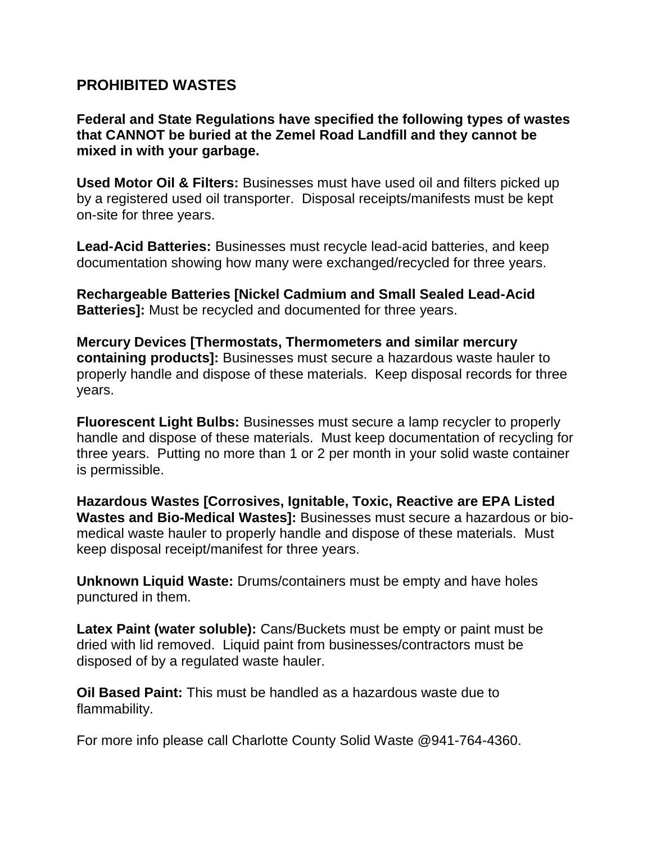## **PROHIBITED WASTES**

**Federal and State Regulations have specified the following types of wastes that CANNOT be buried at the Zemel Road Landfill and they cannot be mixed in with your garbage.**

**Used Motor Oil & Filters:** Businesses must have used oil and filters picked up by a registered used oil transporter. Disposal receipts/manifests must be kept on-site for three years.

**Lead-Acid Batteries:** Businesses must recycle lead-acid batteries, and keep documentation showing how many were exchanged/recycled for three years.

**Rechargeable Batteries [Nickel Cadmium and Small Sealed Lead-Acid Batteries]:** Must be recycled and documented for three years.

**Mercury Devices [Thermostats, Thermometers and similar mercury containing products]:** Businesses must secure a hazardous waste hauler to properly handle and dispose of these materials. Keep disposal records for three years.

**Fluorescent Light Bulbs:** Businesses must secure a lamp recycler to properly handle and dispose of these materials. Must keep documentation of recycling for three years. Putting no more than 1 or 2 per month in your solid waste container is permissible.

**Hazardous Wastes [Corrosives, Ignitable, Toxic, Reactive are EPA Listed Wastes and Bio-Medical Wastes]:** Businesses must secure a hazardous or biomedical waste hauler to properly handle and dispose of these materials. Must keep disposal receipt/manifest for three years.

**Unknown Liquid Waste:** Drums/containers must be empty and have holes punctured in them.

**Latex Paint (water soluble):** Cans/Buckets must be empty or paint must be dried with lid removed. Liquid paint from businesses/contractors must be disposed of by a regulated waste hauler.

**Oil Based Paint:** This must be handled as a hazardous waste due to flammability.

For more info please call Charlotte County Solid Waste @941-764-4360.